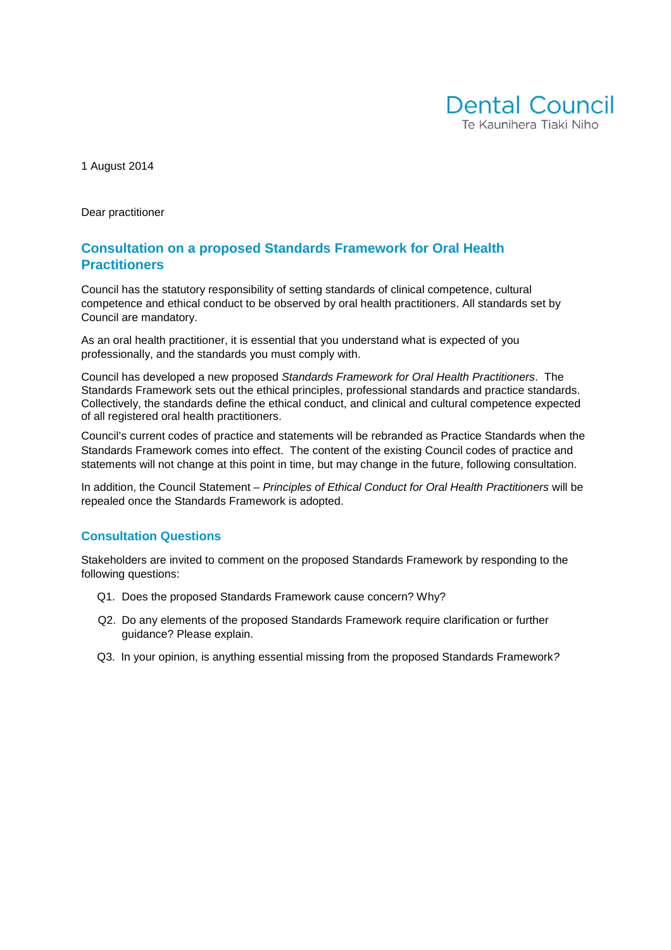

1 August 2014

Dear practitioner

#### **Consultation on a proposed Standards Framework for Oral Health Practitioners**

Council has the statutory responsibility of setting standards of clinical competence, cultural competence and ethical conduct to be observed by oral health practitioners. All standards set by Council are mandatory.

As an oral health practitioner, it is essential that you understand what is expected of you professionally, and the standards you must comply with.

Council has developed a new proposed Standards Framework for Oral Health Practitioners. The Standards Framework sets out the ethical principles, professional standards and practice standards. Collectively, the standards define the ethical conduct, and clinical and cultural competence expected of all registered oral health practitioners.

Council's current codes of practice and statements will be rebranded as Practice Standards when the Standards Framework comes into effect. The content of the existing Council codes of practice and statements will not change at this point in time, but may change in the future, following consultation.

In addition, the Council Statement – Principles of Ethical Conduct for Oral Health Practitioners will be repealed once the Standards Framework is adopted.

#### **Consultation Questions**

Stakeholders are invited to comment on the proposed Standards Framework by responding to the following questions:

- Q1. Does the proposed Standards Framework cause concern? Why?
- Q2. Do any elements of the proposed Standards Framework require clarification or further guidance? Please explain.
- Q3. In your opinion, is anything essential missing from the proposed Standards Framework?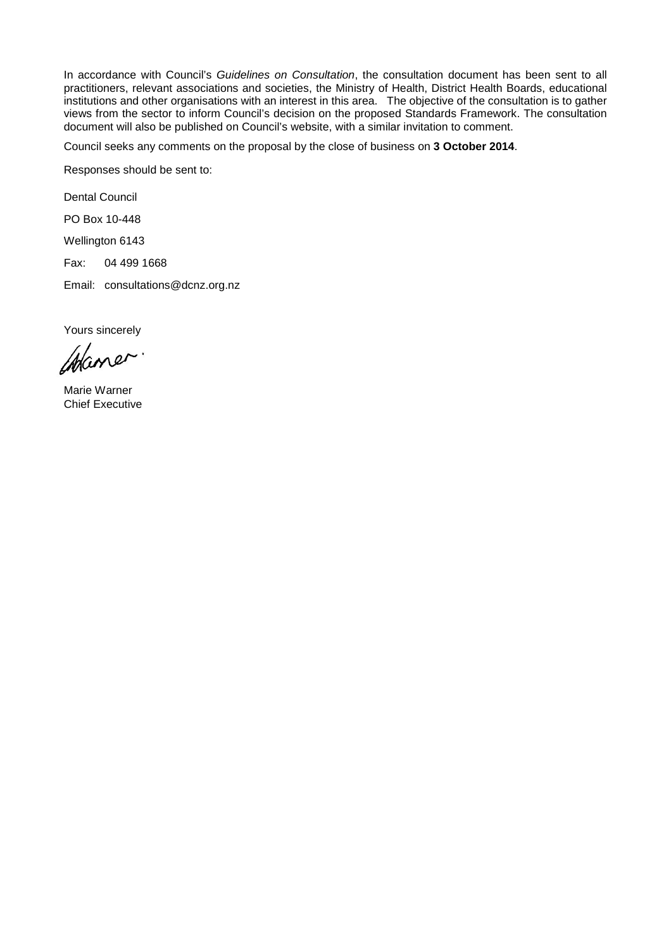In accordance with Council's Guidelines on Consultation, the consultation document has been sent to all practitioners, relevant associations and societies, the Ministry of Health, District Health Boards, educational institutions and other organisations with an interest in this area. The objective of the consultation is to gather views from the sector to inform Council's decision on the proposed Standards Framework. The consultation document will also be published on Council's website, with a similar invitation to comment.

Council seeks any comments on the proposal by the close of business on **3 October 2014**.

Responses should be sent to:

Dental Council

PO Box 10-448

Wellington 6143

Fax: 04 499 1668

Email: consultations@dcnz.org.nz

Yours sincerely

Maner.

Marie Warner Chief Executive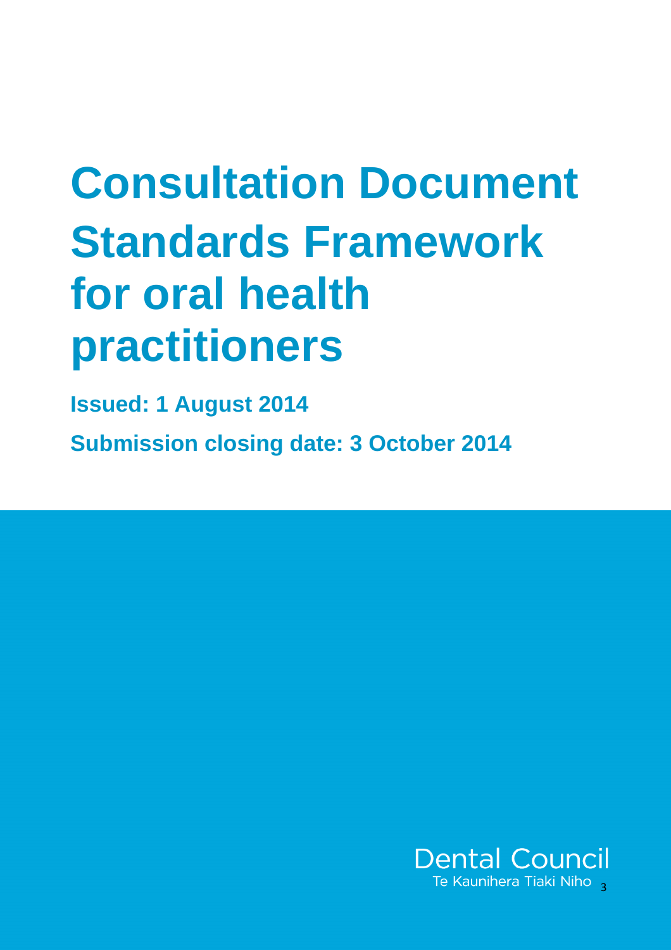# **Consultation Document Standards Framework for oral health practitioners**

**Issued: 1 August 2014** 

**Submission closing date: 3 October 2014**

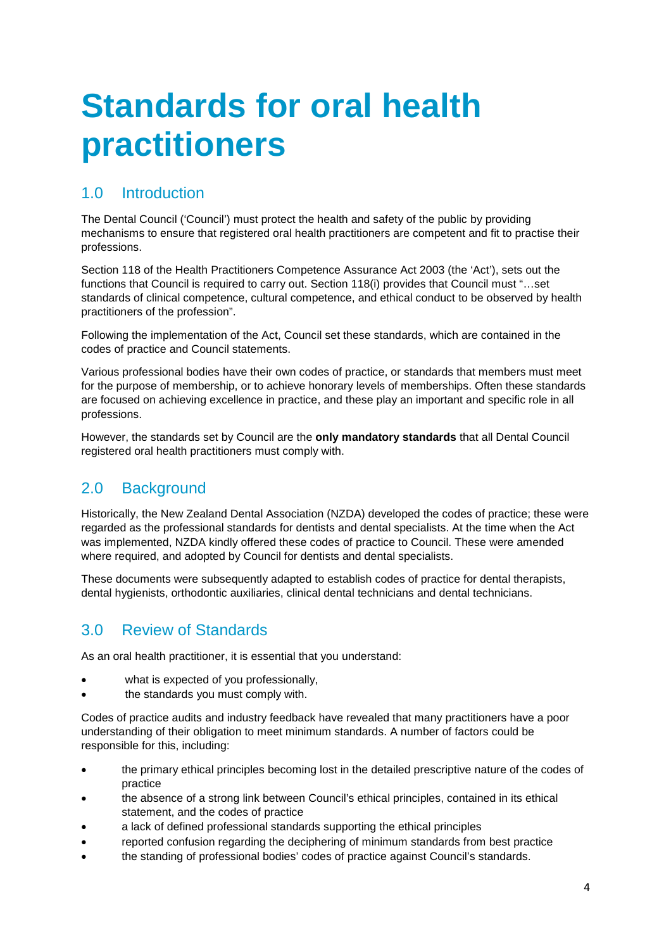# **Standards for oral health practitioners**

## 1.0 Introduction

The Dental Council ('Council') must protect the health and safety of the public by providing mechanisms to ensure that registered oral health practitioners are competent and fit to practise their professions.

Section 118 of the Health Practitioners Competence Assurance Act 2003 (the 'Act'), sets out the functions that Council is required to carry out. Section 118(i) provides that Council must "…set standards of clinical competence, cultural competence, and ethical conduct to be observed by health practitioners of the profession".

Following the implementation of the Act, Council set these standards, which are contained in the codes of practice and Council statements.

Various professional bodies have their own codes of practice, or standards that members must meet for the purpose of membership, or to achieve honorary levels of memberships. Often these standards are focused on achieving excellence in practice, and these play an important and specific role in all professions.

However, the standards set by Council are the **only mandatory standards** that all Dental Council registered oral health practitioners must comply with.

### 2.0 Background

Historically, the New Zealand Dental Association (NZDA) developed the codes of practice; these were regarded as the professional standards for dentists and dental specialists. At the time when the Act was implemented, NZDA kindly offered these codes of practice to Council. These were amended where required, and adopted by Council for dentists and dental specialists.

These documents were subsequently adapted to establish codes of practice for dental therapists, dental hygienists, orthodontic auxiliaries, clinical dental technicians and dental technicians.

#### 3.0 Review of Standards

As an oral health practitioner, it is essential that you understand:

- what is expected of you professionally,
- the standards you must comply with.

Codes of practice audits and industry feedback have revealed that many practitioners have a poor understanding of their obligation to meet minimum standards. A number of factors could be responsible for this, including:

- the primary ethical principles becoming lost in the detailed prescriptive nature of the codes of practice
- the absence of a strong link between Council's ethical principles, contained in its ethical statement, and the codes of practice
- a lack of defined professional standards supporting the ethical principles
- reported confusion regarding the deciphering of minimum standards from best practice
- the standing of professional bodies' codes of practice against Council's standards.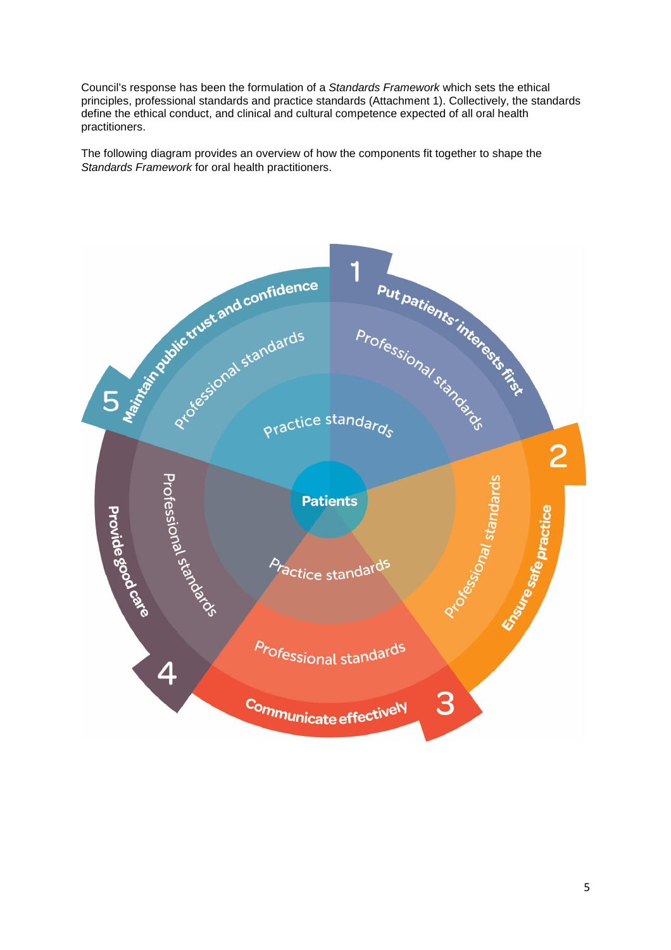Council's response has been the formulation of a Standards Framework which sets the ethical principles, professional standards and practice standards (Attachment 1). Collectively, the standards define the ethical conduct, and clinical and cultural competence expected of all oral health practitioners.

The following diagram provides an overview of how the components fit together to shape the Standards Framework for oral health practitioners.

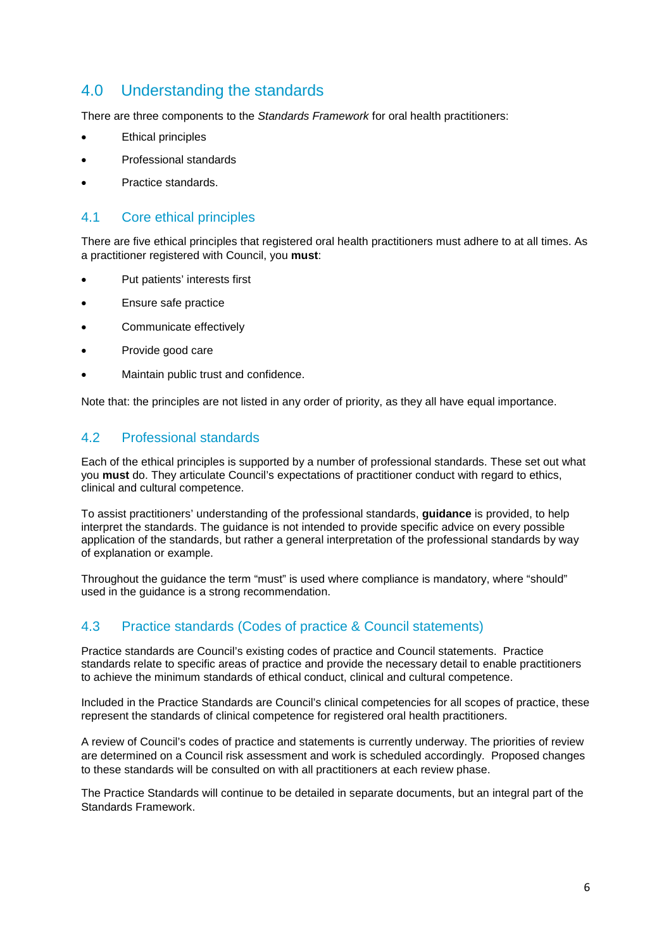#### 4.0 Understanding the standards

There are three components to the Standards Framework for oral health practitioners:

- Ethical principles
- Professional standards
- Practice standards.

#### 4.1 Core ethical principles

There are five ethical principles that registered oral health practitioners must adhere to at all times. As a practitioner registered with Council, you **must**:

- Put patients' interests first
- Ensure safe practice
- Communicate effectively
- Provide good care
- Maintain public trust and confidence.

Note that: the principles are not listed in any order of priority, as they all have equal importance.

#### 4.2 Professional standards

Each of the ethical principles is supported by a number of professional standards. These set out what you **must** do. They articulate Council's expectations of practitioner conduct with regard to ethics, clinical and cultural competence.

To assist practitioners' understanding of the professional standards, **guidance** is provided, to help interpret the standards. The guidance is not intended to provide specific advice on every possible application of the standards, but rather a general interpretation of the professional standards by way of explanation or example.

Throughout the guidance the term "must" is used where compliance is mandatory, where "should" used in the guidance is a strong recommendation.

#### 4.3 Practice standards (Codes of practice & Council statements)

Practice standards are Council's existing codes of practice and Council statements. Practice standards relate to specific areas of practice and provide the necessary detail to enable practitioners to achieve the minimum standards of ethical conduct, clinical and cultural competence.

Included in the Practice Standards are Council's clinical competencies for all scopes of practice, these represent the standards of clinical competence for registered oral health practitioners.

A review of Council's codes of practice and statements is currently underway. The priorities of review are determined on a Council risk assessment and work is scheduled accordingly. Proposed changes to these standards will be consulted on with all practitioners at each review phase.

The Practice Standards will continue to be detailed in separate documents, but an integral part of the Standards Framework.